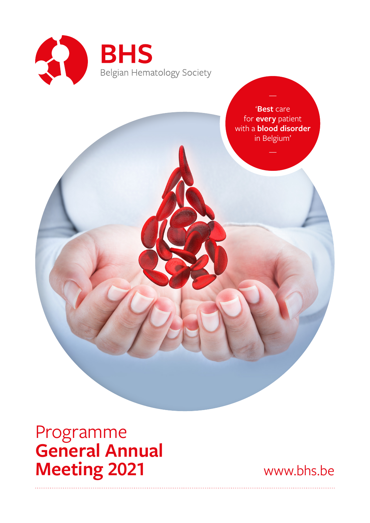

'**Best** care for **every** patient with a **blood disorder** in Belgium'

Programme **General Annual Meeting 2021** www.bhs.be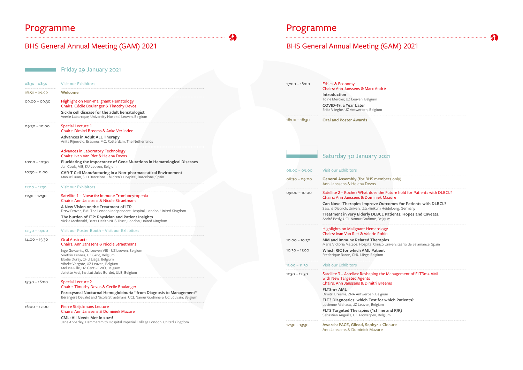# Programme Programme Programme

Friday 29 January 2021

| $08:30 - 08:50$ | <b>Visit our Exhibitors</b>                                                                                                                            | $17:00 - 18:00$ | <b>Ethics &amp; Economy</b>                        |
|-----------------|--------------------------------------------------------------------------------------------------------------------------------------------------------|-----------------|----------------------------------------------------|
| $08:50 - 09:00$ | Welcome                                                                                                                                                |                 | <b>Chairs: Ann Jansse</b><br>Introduction          |
| 09:00 - 09:30   | Highlight on Non-malignant Hematology<br><b>Chairs: Cécile Boulanger &amp; Timothy Devos</b>                                                           |                 | Toine Mercier, UZ Leu<br>COVID-19, a Year I        |
|                 | Sickle cell disease for the adult hematologist<br>Veerle Labarcque, University Hospital Leuven, Belgium                                                | $18:00 - 18:30$ | Erika Vlieghe, UZ Ant<br><b>Oral and Poster A</b>  |
| 09:30 - 10:00   | <b>Special Lecture 1</b><br>Chairs: Dimitri Breems & Anke Verlinden                                                                                    |                 |                                                    |
|                 | <b>Advances in Adult ALL Therapy</b><br>Anita Rijneveld, Erasmus MC, Rotterdam, The Netherlands                                                        |                 |                                                    |
|                 | Advances in Laboratory Technology<br>Chairs: Ivan Van Riet & Helena Devos                                                                              |                 | Saturday 30                                        |
| 10:00 - 10:30   | Elucidating the Importance of Gene Mutations in Hematological Diseases<br>Jan Cools, VIB, KU Leuven, Belgium                                           |                 |                                                    |
| 10:30 - 11:00   | <b>CAR-T Cell Manufacturing in a Non-pharmaceutical Environment</b><br>Manuel Juan, SJD Barcelona Children's Hospital, Barcelona, Spain                | $08:00 - 09:00$ | Visit our Exhibitors                               |
|                 | <b>Visit our Exhibitors</b>                                                                                                                            | $08:30 - 09:00$ | <b>General Assembly</b><br>Ann Janssens & He       |
| $11:00 - 11:30$ |                                                                                                                                                        | $09:00 - 10:00$ | Satellite 2 - Roche                                |
| $11:30 - 12:30$ | Satellite 1 - Novartis: Immune Trombocytopenia<br>Chairs: Ann Janssens & Nicole Straetmans                                                             |                 | <b>Chairs: Ann Jansse</b>                          |
|                 | A New Vision on the Treatment of ITP<br>Drew Provan, BMI The London Independent Hospital, London, United Kingdom                                       |                 | <b>Can Novel Therap</b><br>Sascha Dietrich, Univ   |
|                 | The burden of ITP: Physician and Patient Insights<br>Vickie Mcdonald, Barts Health NHS Trust, London, United Kingdom                                   |                 | <b>Treatment in very</b><br>André Bosly, UCL Nar   |
| 12:30 - 14:00   | Visit our Poster Booth - Visit our Exhibitors                                                                                                          |                 | <b>Highlights on Malig</b><br>Chairs: Ivan Van Rio |
| 14:00 - 15:30   | <b>Oral Abstracts</b><br>Chairs: Ann Janssens & Nicole Straetmans                                                                                      | $10:00 - 10:30$ | <b>MM</b> and Immune I<br>Maria Victoria Mateo     |
|                 | Inge Govaerts, KU Leuven VIB - UZ Leuven, Belgium<br>Soetkin Kennes, UZ Gent, Belgium<br>Elodie Duray, CHU Liège, Belgium                              | $10:30 - 11:00$ | Which RIC for whi<br>Frederique Baron, CH          |
|                 | Vibeke Vergote, UZ Leuven, Belgium<br>Melissa Pille, UZ Gent - FWO, Belgium                                                                            | $11:00 - 11:30$ | Visit our Exhibitors                               |
|                 | Juliette Avci, Institut Jules Bordet, ULB, Belgium                                                                                                     | $11:30 - 12:30$ | Satellite 3 - Astella                              |
| 15:30 - 16:00   | <b>Special Lecture 2</b><br>Chairs: Timothy Devos & Cécile Boulanger                                                                                   |                 | with New Targeted<br><b>Chairs: Ann Jansse</b>     |
|                 | Paroxysmal Nocturnal Hemoglobinuria "from Diagnosis to Management"<br>Bérangère Devalet and Nicole Straetmans, UCL Namur Godinne & UC Louvain, Belgium |                 | FLT3m+ AML<br>Dimitri Breems, ZNA                  |
| 16:00 – 17:00   |                                                                                                                                                        |                 | <b>FLT3 Diagnostics:</b><br>Lucienne Michaux, UZ   |
|                 | Pierre Strijckmans Lecture<br>Chairs: Ann Janssens & Dominiek Mazure                                                                                   |                 | FLT3 Targeted The<br>Sebastian Anguille, U.        |
|                 | <b>CML: All Needs Met in 2021?</b><br>Jane Apperley, Hammersmith Hospital Imperial College London, United Kingdom                                      |                 |                                                    |
|                 |                                                                                                                                                        | $12:30 - 13:30$ | <b>Awards: PACE, Gil</b>                           |

# BHS General Annual Meeting (GAM) 2021 **BHS General Annual Meeting (GAM) 2021**

Chairs: Ann Janssens & Marc André

|                 | Introduction<br>Toine Mercier, UZ Leuven, Belgium<br>COVID-19, a Year Later<br>Erika Vlieghe, UZ Antwerpen, Belgium                                                                                                                                                                                                                                                                           |
|-----------------|-----------------------------------------------------------------------------------------------------------------------------------------------------------------------------------------------------------------------------------------------------------------------------------------------------------------------------------------------------------------------------------------------|
| 18:00 – 18:30   | <b>Oral and Poster Awards</b>                                                                                                                                                                                                                                                                                                                                                                 |
|                 | Saturday 30 January 2021                                                                                                                                                                                                                                                                                                                                                                      |
| $08:00 - 09:00$ | <u>Visit our Exhibitors</u>                                                                                                                                                                                                                                                                                                                                                                   |
| 08:30 – 09:00   | <b>General Assembly</b> (for BHS members only)<br>Ann Janssens & Helena Devos                                                                                                                                                                                                                                                                                                                 |
| 09:00 - 10:00   | Satellite 2 - Roche: What does the Future hold for Patients with DLBCL?<br><b>Chairs: Ann Janssens &amp; Dominiek Mazure</b><br>Can Novel Therapies improve Outcomes for Patients with DLBCL?<br>Sascha Dietrich, Universitätsklinikum Heidelberg, Germany<br>Treatment in very Elderly DLBCL Patients: Hopes and Caveats.<br>André Bosly, UCL Namur Godinne, Belgium                         |
|                 | <b>Highlights on Malignant Hematology</b><br>Chairs: Ivan Van Riet & Valerie Robin                                                                                                                                                                                                                                                                                                            |
| $10:00 - 10:30$ | <b>MM and Immune Related Therapies</b><br>Maria Victoria Mateos, Hospital Clinico Universitaario de Salamance, Spain                                                                                                                                                                                                                                                                          |
| 10:30 - 11:00   | <b>Which RIC for which AML Patient</b><br>Frederique Baron, CHU Liège, Belgium                                                                                                                                                                                                                                                                                                                |
| 11:00 – 11:30   | Visit our Exhibitors                                                                                                                                                                                                                                                                                                                                                                          |
| $11:30 - 12:30$ | Satellite 3 - Astellas: Reshaping the Management of FLT3m+ AML<br>with New Targeted Agents<br><b>Chairs: Ann Janssens &amp; Dimitri Breems</b><br>FLT3m+ AML<br>Dimitri Breems, ZNA Antwerpen, Belgium<br>FLT3 Diagnostics: which Test for which Patients?<br>Lucienne Michaux, UZ Leuven, Belgium<br>FLT3 Targeted Therapies (1st line and R/R)<br>Sebastian Anguille, UZ Antwerpen, Belgium |
| 12:30 – 13:30   | Awards: PACE, Gilead, Saphyr + Closure                                                                                                                                                                                                                                                                                                                                                        |

Ann Janssens & Dominiek Mazure



| hly)                            |  |
|---------------------------------|--|
| e hold for Patients with DLBCL? |  |
| s for Patients with DLBCL?      |  |